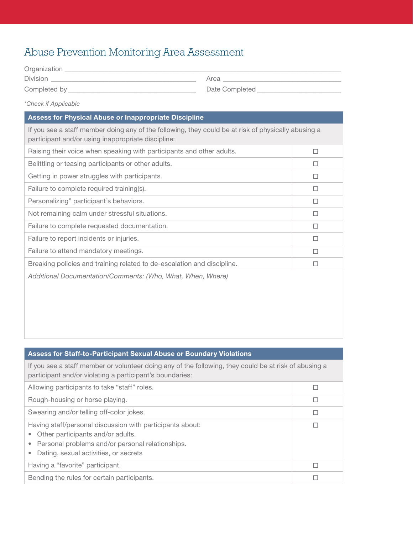## Abuse Prevention Monitoring Area Assessment

| Organization _____                                                                                                                                        |                               |  |
|-----------------------------------------------------------------------------------------------------------------------------------------------------------|-------------------------------|--|
| Division                                                                                                                                                  | Area                          |  |
|                                                                                                                                                           | Date Completed Date Completed |  |
| <i>*Check if Applicable</i>                                                                                                                               |                               |  |
| <b>Assess for Physical Abuse or Inappropriate Discipline</b>                                                                                              |                               |  |
| If you see a staff member doing any of the following, they could be at risk of physically abusing a<br>participant and/or using inappropriate discipline: |                               |  |
| Raising their voice when speaking with participants and other adults.                                                                                     |                               |  |

| Belittling or teasing participants or other adults.                     | П |
|-------------------------------------------------------------------------|---|
| Getting in power struggles with participants.                           | П |
| Failure to complete required training(s).                               | П |
| Personalizing" participant's behaviors.                                 | □ |
| Not remaining calm under stressful situations.                          | □ |
| Failure to complete requested documentation.                            | П |
| Failure to report incidents or injuries.                                | □ |
| Failure to attend mandatory meetings.                                   | П |
| Breaking policies and training related to de-escalation and discipline. | П |
| Additional Documentation/Comments: (Who, What, When, Where)             |   |
|                                                                         |   |
|                                                                         |   |
|                                                                         |   |
|                                                                         |   |

| <b>Assess for Staff-to-Participant Sexual Abuse or Boundary Violations</b>                                                                                                                                            |   |
|-----------------------------------------------------------------------------------------------------------------------------------------------------------------------------------------------------------------------|---|
| If you see a staff member or volunteer doing any of the following, they could be at risk of abusing a<br>participant and/or violating a participant's boundaries:                                                     |   |
| Allowing participants to take "staff" roles.                                                                                                                                                                          | П |
| Rough-housing or horse playing.                                                                                                                                                                                       | □ |
| Swearing and/or telling off-color jokes.                                                                                                                                                                              | □ |
| Having staff/personal discussion with participants about:<br>Other participants and/or adults.<br>$\bullet$<br>Personal problems and/or personal relationships.<br>$\bullet$<br>Dating, sexual activities, or secrets | П |
| Having a "favorite" participant.                                                                                                                                                                                      | П |
| Bending the rules for certain participants.                                                                                                                                                                           |   |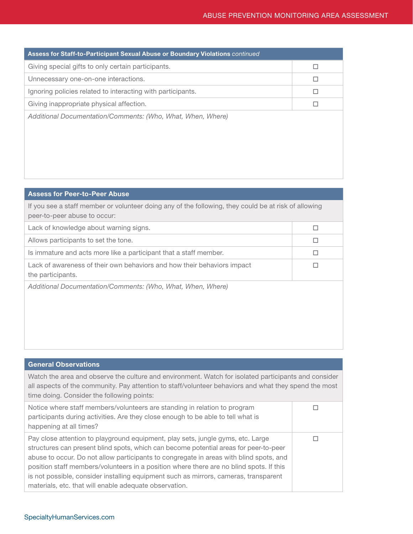| Assess for Staff-to-Participant Sexual Abuse or Boundary Violations continued |   |
|-------------------------------------------------------------------------------|---|
| Giving special gifts to only certain participants.                            | п |
| Unnecessary one-on-one interactions.                                          | □ |
| Ignoring policies related to interacting with participants.                   | □ |
| Giving inappropriate physical affection.                                      | Е |
| Additional Documentation/Comments: (Who, What, When, Where)                   |   |

## Assess for Peer-to-Peer Abuse

If you see a staff member or volunteer doing any of the following, they could be at risk of allowing peer-to-peer abuse to occur:

| Lack of knowledge about warning signs.                                                       |  |
|----------------------------------------------------------------------------------------------|--|
| Allows participants to set the tone.                                                         |  |
| Is immature and acts more like a participant that a staff member.                            |  |
| Lack of awareness of their own behaviors and how their behaviors impact<br>the participants. |  |
| Additional Documentation/Comments: (Who, What, When, Where)                                  |  |

| <b>General Observations</b>                                                                                                                                                                                                                                                                                                                                                                                                                                                                                     |  |
|-----------------------------------------------------------------------------------------------------------------------------------------------------------------------------------------------------------------------------------------------------------------------------------------------------------------------------------------------------------------------------------------------------------------------------------------------------------------------------------------------------------------|--|
| Watch the area and observe the culture and environment. Watch for isolated participants and consider<br>all aspects of the community. Pay attention to staff/volunteer behaviors and what they spend the most<br>time doing. Consider the following points:                                                                                                                                                                                                                                                     |  |
| Notice where staff members/volunteers are standing in relation to program<br>participants during activities. Are they close enough to be able to tell what is<br>happening at all times?                                                                                                                                                                                                                                                                                                                        |  |
| Pay close attention to playground equipment, play sets, jungle gyms, etc. Large<br>structures can present blind spots, which can become potential areas for peer-to-peer<br>abuse to occur. Do not allow participants to congregate in areas with blind spots, and<br>position staff members/volunteers in a position where there are no blind spots. If this<br>is not possible, consider installing equipment such as mirrors, cameras, transparent<br>materials, etc. that will enable adequate observation. |  |

## SpecialtyHumanServices.com